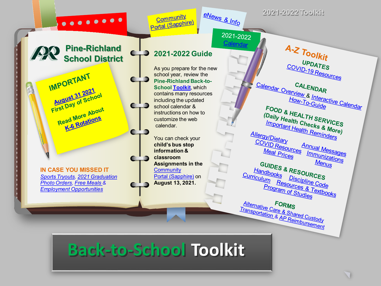### $0.0000000$

**Pine-Richland**

**IN CASE YOU MISSED IT**  *[Sports Tryouts, 2021 Graduation](https://www.pinerichland.org/site/default.aspx?PageType=3&DomainID=87&ModuleInstanceID=12946&ViewID=6446EE88-D30C-497E-9316-3F8874B3E108&RenderLoc=0&FlexDataID=36513&PageID=638) Photo Orders, [Free Meals &](https://www.pinerichland.org/Page/7390) [Employment Opportunities](https://www.applitrack.com/pinerichland/onlineapp/default.aspx?all=1)*

IMPORTANT

MPUT 31 2021 August 31 2021<br>First Day of School

irst Day of About

ead More About

**Community** Portal (Sapphire)



### **2021-2022 Toolkit**

 $2021 - 2022$ Calendar

### **School District 2021-2022 Guide**

As you prepare for the new school year, review the **Pine-Richland Back-to-School [Toolkit](https://www.pinerichland.org/backtoschool)**, which contains many resources including the updated school calendar & instructions on how to customize the web calendar.

You can check your **child's bus stop information & classroom Assignments in the Community** [Portal \(Sapphire\)](https://www.pinerichland.org/Domain/1013) on **August 13, 2021.**

 $A - Z$  Toolkit UPDATES COVID-19 Resources Calendar Overview & Interactive Calendar<br>How-To-Guide<br>FOOD & U FOOD & HEALTH SERVICES **OOD & HEALTH SERVICES**<br>(Daily Health Checks & More)<br>Important Health Reminders **Taily Health Checks & More**<br>Important Health Reminders<br>W/Dietary Allergy/Dietary COVID Resources Annual Messages<br>S. Immunizations Meal Prices <u>Immunizations</u><br>Immunizations<br>Menus Menus **GUIDES & RESOURCES**<br>**GUIDES & RESOURCES**<br>Eliscipline C Handbooks<br>Triculum Resources<br>Program Code<br>Program Ces & Toute **Eurriculum Resources**<br>Program of Studies<br>Program of Studies

**Program of Studies** 

Alternative Care & Shared Custody<br>Transportation & AP Reimbursement **Alternative Care & Shared Custody**<br>Transportation & AP Reimbursement

**Back-to-School Toolkit**

 $\blacksquare$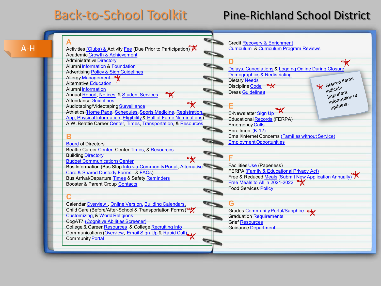## Back-to-School Toolkit Pine-Richland School District

<span id="page-1-0"></span>[A-H](#page-1-0) 

| Δ                                                                                   |
|-------------------------------------------------------------------------------------|
| Activities <u>(Clubs) &amp; A</u> ctivity <u>Fee</u> (Due Prior to Participation) X |
| <b>Academic Growth &amp; Achievement</b>                                            |
| <b>Administrative Directory</b>                                                     |
| <b>Alumni Information &amp; Foundation</b>                                          |
| <b>Advertising Policy &amp; Sign Guidelines</b>                                     |
| <b>Allergy Management</b>                                                           |
| <b>Alternative Education</b>                                                        |
| <b>Alumni Information</b>                                                           |
| <b>Annual Report, Notices, &amp; Student Services</b>                               |
| <b>Attendance Guidelines</b>                                                        |
| Audiotaping/Videotaping Surveillance                                                |
| Athletics (Home Page, Schedules, Sports Medicine, Registration                      |
| App, Physical Information, Eligibility & Hall of Fame Nominations)                  |
| A.W. Beattie Career Center, Times, Transportation, & Resources                      |
|                                                                                     |
|                                                                                     |
| <b>Board of Directors</b>                                                           |
| Beattie Career Center, Center Times, & Resources                                    |
| <b>Building Directory</b>                                                           |
| <b>Budget Communications Center</b>                                                 |
| Bus Information (Bus Stop Info via Community Portal, Alternative                    |
| Care & Shared Custody Forms, & FAQs)                                                |
| <b>Bus Arrival/Departure Times &amp; Safety Reminders</b>                           |
| <b>Booster &amp; Parent Group Contacts</b>                                          |
|                                                                                     |
|                                                                                     |
| Calendar Overview, Online Version, Building Calendars,                              |
| Child Care (Before/After-School & Transportation Forms)                             |
| <b>Customizing, &amp; World Religions</b>                                           |
| <b>CogAT7 (Cognitive Abilities Screener)</b>                                        |
| College & Career Resources & College Recruiting Info                                |
| Communications (Overview, Email Sign-Up & Rapid Call),                              |

Community [Portal](http://www.pinerichland.org/Page/286)

Credit [Recovery & Enrichment](http://www.pinerichland.org/Page/6638) [Curriculum](https://www.pinerichland.org/site/Default.aspx?PageID=7358) & [Curriculum Program Reviews](https://www.pinerichland.org/Domain/1193) **D**  $\mathbb{R}$ [Delays, Cancelations](http://www.pinerichland.org/Page/5257) & [Logging Online During Closure](https://www.pinerichland.org/Page/9178) [Demographics & Redistricting](https://www.pinerichland.org/Domain/1277)  Starred items Dietary [Needs](https://www.pinerichland.org/Page/251) Discipline [Code](http://www.pinerichland.org/Domain/858)  $\overrightarrow{\mathbf{x}}$ Stand<br>indicate indicate<br>important<br>comation Dress [Guidelines](http://www.pinerichland.org/Page/6777) important<br>important<br>information of intonnes.<br>updates. **E** E-Newsletter <u>[Sign Up](http://www.pinerichland.org/Page/399)</u> Educational [Records](http://www.pinerichland.org/Page/6760) (FERPA) Emergency [Calls](http://www.pinerichland.org/Page/6752) Enrollment [\(K-12\)](http://www.pinerichland.org/Domain/29) Email/Internet Concerns [\(Families without Service\)](http://www.pinerichland.org/Page/6778) [Employment Opportunities](https://www.pinerichland.org/employment) **F** Facilities [Use](http://www.pinerichland.org/Domain/30) (Paperless) FERPA [\(Family & Educational Privacy Act\)](http://www.pinerichland.org/Page/6760) Free & Reduced [Meals](http://www.pinerichland.org/Page/260) (Submit New Application Annually) [Free Meals to All in 2021-2022](https://www.pinerichland.org/Page/7390) Food Services [Policy](http://go.boarddocs.com/pa/prsd/Board.nsf/goto?open&id=B49GEP437B9B) **G** Grades [Community Portal/Sapphire](http://www.pinerichland.org/site/Default.aspx?PageID=286) Graduation [Requirements](http://www.pinerichland.org/Domain/866) **Grief [Resources](http://www.pinerichland.org/Domain/882)** Guidance [Department](http://www.pinerichland.org/Domain/65)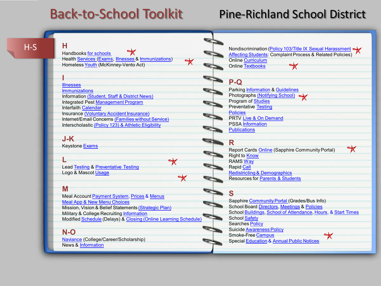# Back-to-School Toolkit

## Pine-Richland School District

[H-S](#page-1-0) 

#### **H**

Handbooks [for schools](https://www.pinerichland.org/handbooks) Health [Services](http://www.pinerichland.org/site/Default.aspx?PageID=238) ([Exams,](http://www.pinerichland.org/site/Default.aspx?PageID=250) [Illnesses](http://www.pinerichland.org/site/Default.aspx?PageID=247) & [Immunizations\)](http://www.pinerichland.org/site/Default.aspx?PageID=245) Homeless [Youth](https://www.pinerichland.org/Page/8174) (McKinney-Vento Act)

**I** [Illnesses](http://www.pinerichland.org/Page/247)

[Immunizations](http://www.pinerichland.org/site/Default.aspx?PageID=245) Information [\(Student, Staff & District News\)](http://www.pinerichland.org/prnews) Integrated Pest [Management Program](http://www.pinerichland.org/site/Default.aspx?PageID=568) Interfaith [Calendar](http://www.interfaith-calendar.org/) Insurance [\(Voluntary Accident Insurance\)](https://www.pinerichland.org/cms/lib/PA01001138/Centricity/Domain/1/K-12%20PACB%20Brochure%202019.pdf) Internet/Email Concerns [\(Families without Service\)](http://www.pinerichland.org/Page/6778) Interscholastic [\(Policy 123\) & Athletic Eligibility](https://www.pinerichland.org/interscholastic)

#### **J-K**

Keystone [Exams](http://www.pinerichland.org/Domain/880)

**L** Lead [Testing](https://www.pinerichland.org/Page/7983) & [Preventative Testing](https://www.pinerichland.org/Domain/1214) Logo & Mascot [Usage](http://www.pinerichland.org/logo)

#### **M**

Meal Account [Payment System](https://www.pinerichland.org/Page/266), [Prices](https://www.pinerichland.org/Page/7390) & [Menus](https://pinerichlandsd.sodexomyway.com/landing) [Meal App & New Menu Choices](https://www.pinerichland.org/Page/7636) Mission, Vision & Belief Statements [\(Strategic Plan\)](http://www.pinerichland.org/Domain/956) **Military & College Recruiting [Information](http://www.pinerichland.org/Page/6779)** Modified [Schedule](https://www.pinerichland.org/site/default.aspx?PageType=3&ModuleInstanceID=863&ViewID=7b97f7ed-8e5e-4120-848f-a8b4987d588f&RenderLoc=0&FlexDataID=996&PageID=397) (Delays) & [Closing \(Online Learning Schedule\)](https://www.pinerichland.org/Page/9178)

 $\mathbb{R}$ 

 $\star$ 

#### **N-O**

[Naviance](https://www.pinerichland.org/Page/737) (College/Career/Scholarship) News & [Information](https://www.pinerichland.org/Page/8969)

[Nondiscrimination \(Policy 103/Title IX Sexual Harassment](https://www.pinerichland.org/nondiscrimination) Affecting Students: Complaint Process & Related Policies) Online [Curriculum](https://www.pinerichland.org/Domain/1080) Online [Textbooks](https://www.pinerichland.org/Domain/1033)

### **P-Q**

Parking [Information](http://www.pinerichland.org/Page/6720) & [Guidelines](http://www.pinerichland.org/cms/lib07/PA01001138/Centricity/Domain/124/studentdrivingguidelines.pdf) Photographs [\(Notifying School\)](http://www.pinerichland.org/Domain/52) Program of [Studies](https://www.pinerichland.org/Page/7914) Preventative [Testing](https://www.pinerichland.org/Domain/1214) **[Policies](https://www.pinerichland.org/policies)** PRTV [Live & On Demand](http://www.pinerichland.org/Page/444) PSSA [Information](http://www.pinerichland.org/Domain/880) **[Publications](https://www.pinerichland.org/Domain/54)** 

#### **R**

Report Cards [Online](https://www.pinerichland.org/Page/6844) (Sapphire Community Portal) Right to [Know](http://www.pinerichland.org/site/Default.aspx?PageID=460) RAMS [Way](https://www.pinerichland.org/ramsway) Rapid [Call](http://www.pinerichland.org/Page/6752) [Redistricting & Demographics](https://www.pinerichland.org/Domain/1277) Resources for [Parents & Students](https://www.pinerichland.org/Domain/1033)

#### **S**

Sapphire [Community Portal \(](https://www.pinerichland.org/communitywebportal)Grades/Bus Info) School Board [Directors,](http://www.pinerichland.org/Page/5733) [Meetings](https://www.pinerichland.org/Page/9298) & [Policies](https://www.pinerichland.org/policies) School [Buildings,](http://www.pinerichland.org/Page/6735) [School of Attendance](http://www.pinerichland.org/Page/6750), [Hours,](https://www.pinerichland.org/Page/161) & [Start Times](https://www.pinerichland.org/starttimes) School [Safety](https://www.pinerichland.org/Page/577) Searches [Policy](https://www.pinerichland.org/Domain/1066)  Suicide [Awareness Policy](http://www.pinerichland.org/Domain/972) Smoke-Free [Campus](http://www.pinerichland.org/site/Default.aspx?PageID=165) ₩ Special [Education](https://www.pinerichland.org/Page/6755) & [Annual Public Notices](http://www.pinerichland.org/Domain/46)

 $\mathbb{X}$